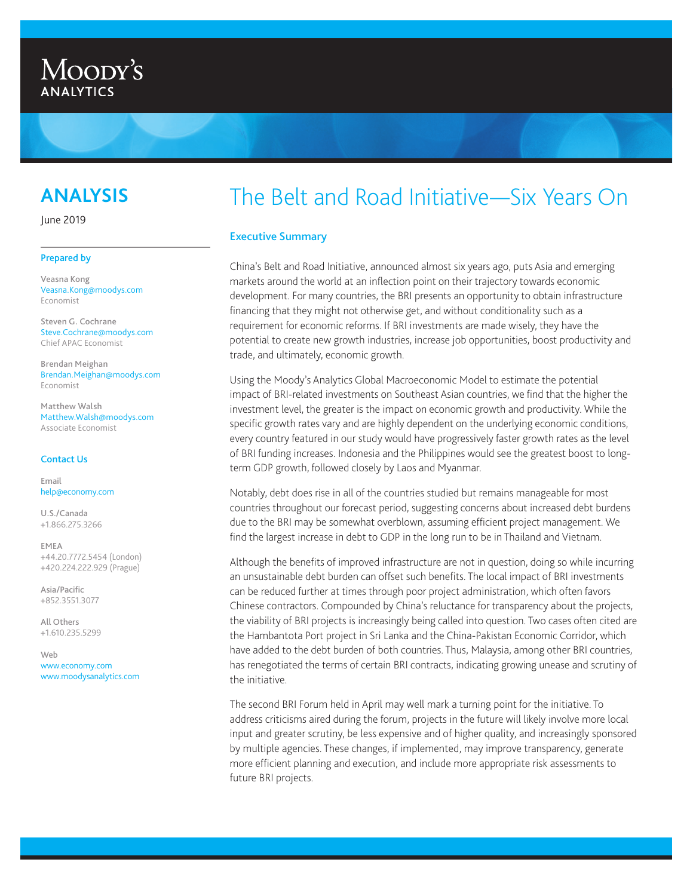# **ANALYTICS**

Moody's

### **ANALYSIS**

June 2019

#### Prepared by

Veasna Kong Veasna.Kong@moodys.com Economist

Steven G. Cochrane Steve.Cochrane@moodys.com Chief APAC Economist

Brendan Meighan Brendan.Meighan@moodys.com Economist

Matthew Walsh Matthew.Walsh@moodys.com Associate Economist

#### Contact Us

Email help@economy.com

U.S./Canada +1.866.275.3266

EMEA +44.20.7772.5454 (London) +420.224.222.929 (Prague)

Asia/Pacific +852.3551.3077

All Others +1.610.235.5299

Web www.economy.com www.moodysanalytics.com

# The Belt and Road Initiative—Six Years On

#### Executive Summary

China's Belt and Road Initiative, announced almost six years ago, puts Asia and emerging markets around the world at an inflection point on their trajectory towards economic development. For many countries, the BRI presents an opportunity to obtain infrastructure financing that they might not otherwise get, and without conditionality such as a requirement for economic reforms. If BRI investments are made wisely, they have the potential to create new growth industries, increase job opportunities, boost productivity and trade, and ultimately, economic growth.

Using the Moody's Analytics Global Macroeconomic Model to estimate the potential impact of BRI-related investments on Southeast Asian countries, we find that the higher the investment level, the greater is the impact on economic growth and productivity. While the specific growth rates vary and are highly dependent on the underlying economic conditions, every country featured in our study would have progressively faster growth rates as the level of BRI funding increases. Indonesia and the Philippines would see the greatest boost to longterm GDP growth, followed closely by Laos and Myanmar.

Notably, debt does rise in all of the countries studied but remains manageable for most countries throughout our forecast period, suggesting concerns about increased debt burdens due to the BRI may be somewhat overblown, assuming efficient project management. We find the largest increase in debt to GDP in the long run to be in Thailand and Vietnam.

Although the benefits of improved infrastructure are not in question, doing so while incurring an unsustainable debt burden can offset such benefits. The local impact of BRI investments can be reduced further at times through poor project administration, which often favors Chinese contractors. Compounded by China's reluctance for transparency about the projects, the viability of BRI projects is increasingly being called into question. Two cases often cited are the Hambantota Port project in Sri Lanka and the China-Pakistan Economic Corridor, which have added to the debt burden of both countries. Thus, Malaysia, among other BRI countries, has renegotiated the terms of certain BRI contracts, indicating growing unease and scrutiny of the initiative.

The second BRI Forum held in April may well mark a turning point for the initiative. To address criticisms aired during the forum, projects in the future will likely involve more local input and greater scrutiny, be less expensive and of higher quality, and increasingly sponsored by multiple agencies. These changes, if implemented, may improve transparency, generate more efficient planning and execution, and include more appropriate risk assessments to future BRI projects.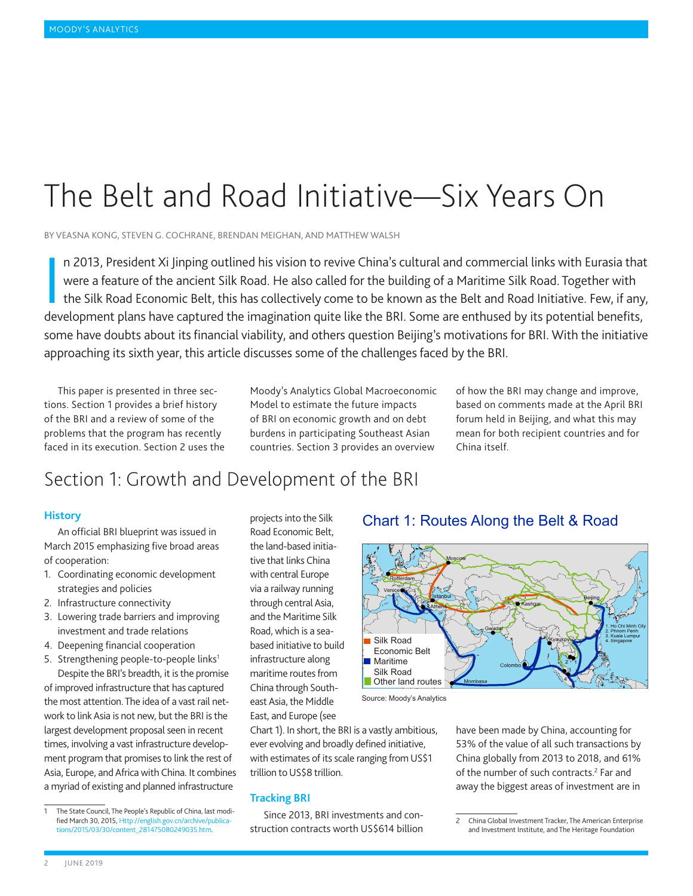# The Belt and Road Initiative—Six Years On

BY VEASNA KONG, STEVEN G. COCHRANE, BRENDAN MEIGHAN, AND MATTHEW WALSH

In 2013, President Xi Jinping outlined his vision to revive China's cultural and commercial links with Eurasia that<br>Were a feature of the ancient Silk Road. He also called for the building of a Maritime Silk Road. Together n 2013, President Xi Jinping outlined his vision to revive China's cultural and commercial links with Eurasia that were a feature of the ancient Silk Road. He also called for the building of a Maritime Silk Road. Together with the Silk Road Economic Belt, this has collectively come to be known as the Belt and Road Initiative. Few, if any, some have doubts about its financial viability, and others question Beijing's motivations for BRI. With the initiative approaching its sixth year, this article discusses some of the challenges faced by the BRI.

This paper is presented in three sections. Section 1 provides a brief history of the BRI and a review of some of the problems that the program has recently faced in its execution. Section 2 uses the Moody's Analytics Global Macroeconomic Model to estimate the future impacts of BRI on economic growth and on debt burdens in participating Southeast Asian countries. Section 3 provides an overview

of how the BRI may change and improve, based on comments made at the April BRI forum held in Beijing, and what this may mean for both recipient countries and for China itself.

## Section 1: Growth and Development of the BRI

#### **History**

An official BRI blueprint was issued in March 2015 emphasizing five broad areas of cooperation:

- 1. Coordinating economic development strategies and policies
- 2. Infrastructure connectivity
- 3. Lowering trade barriers and improving investment and trade relations
- 4. Deepening financial cooperation
- 5. Strengthening people-to-people links<sup>1</sup> Despite the BRI's breadth, it is the promise

of improved infrastructure that has captured the most attention. The idea of a vast rail network to link Asia is not new, but the BRI is the largest development proposal seen in recent times, involving a vast infrastructure development program that promises to link the rest of Asia, Europe, and Africa with China. It combines a myriad of existing and planned infrastructure

projects into the Silk Road Economic Belt, the land-based initiative that links China with central Europe via a railway running through central Asia, and the Maritime Silk Road, which is a seabased initiative to build infrastructure along maritime routes from China through Southeast Asia, the Middle East, and Europe (see

### Chart 1: Routes Along the Belt & Road



Source: Moody's Analytics

Chart 1). In short, the BRI is a vastly ambitious, ever evolving and broadly defined initiative, with estimates of its scale ranging from US\$1 trillion to US\$8 trillion.

#### **Tracking BRI**

Since 2013, BRI investments and construction contracts worth US\$614 billion have been made by China, accounting for 53% of the value of all such transactions by China globally from 2013 to 2018, and 61% of the number of such contracts.<sup>2</sup> Far and away the biggest areas of investment are in

The State Council, The People's Republic of China, last modified March 30, 2015, Http://english.gov.cn/archive/publications/2015/03/30/content\_281475080249035.htm.

<sup>2</sup> China Global Investment Tracker, The American Enterprise and Investment Institute, and The Heritage Foundation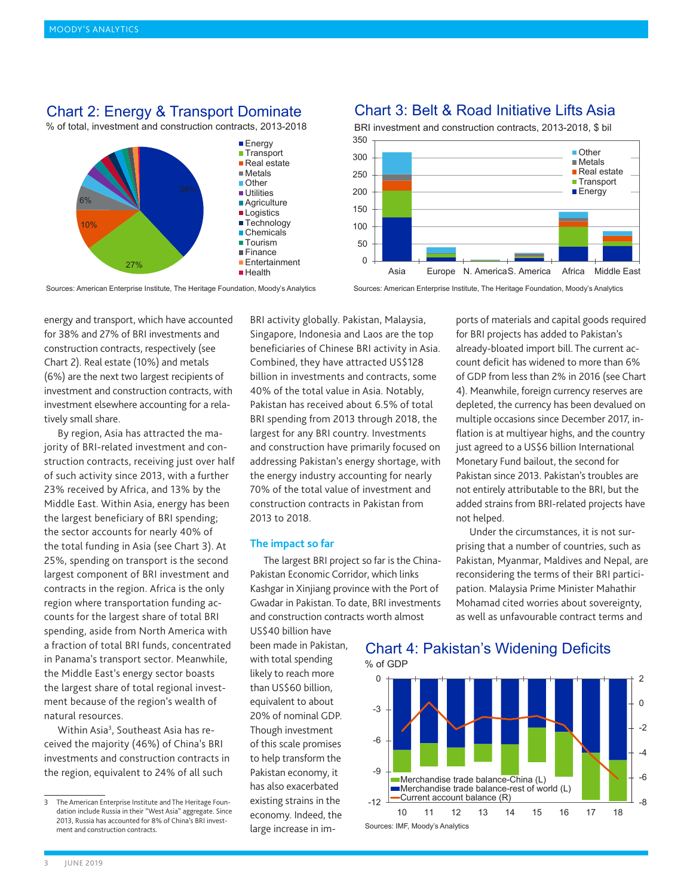**Energy** Chart 2: Energy & Transport Dominate % of total, investment and construction contracts, 2013-2018



Sources: American Enterprise Institute, The Heritage Foundation, Moody's Analytics

Chart 3: Belt & Road Initiative Lifts Asia



BRI investment and construction contracts, 2013-2018, \$ bil

Sources: American Enterprise Institute, The Heritage Foundation, Moody's Analytics

energy and transport, which have accounted for 38% and 27% of BRI investments and construction contracts, respectively (see Chart 2). Real estate (10%) and metals (6%) are the next two largest recipients of investment and construction contracts, with investment elsewhere accounting for a relatively small share.

By region, Asia has attracted the majority of BRI-related investment and construction contracts, receiving just over half of such activity since 2013, with a further 23% received by Africa, and 13% by the Middle East. Within Asia, energy has been the largest beneficiary of BRI spending; the sector accounts for nearly 40% of the total funding in Asia (see Chart 3). At 25%, spending on transport is the second largest component of BRI investment and contracts in the region. Africa is the only region where transportation funding accounts for the largest share of total BRI spending, aside from North America with a fraction of total BRI funds, concentrated in Panama's transport sector. Meanwhile, the Middle East's energy sector boasts the largest share of total regional investment because of the region's wealth of natural resources.

Within Asia3 , Southeast Asia has received the majority (46%) of China's BRI investments and construction contracts in the region, equivalent to 24% of all such

BRI activity globally. Pakistan, Malaysia, Singapore, Indonesia and Laos are the top beneficiaries of Chinese BRI activity in Asia. Combined, they have attracted US\$128 billion in investments and contracts, some 40% of the total value in Asia. Notably, Pakistan has received about 6.5% of total BRI spending from 2013 through 2018, the largest for any BRI country. Investments and construction have primarily focused on addressing Pakistan's energy shortage, with the energy industry accounting for nearly 70% of the total value of investment and construction contracts in Pakistan from 2013 to 2018.

#### **The impact so far**

The largest BRI project so far is the China-Pakistan Economic Corridor, which links Kashgar in Xinjiang province with the Port of Gwadar in Pakistan. To date, BRI investments and construction contracts worth almost

US\$40 billion have been made in Pakistan, with total spending likely to reach more than US\$60 billion, equivalent to about 20% of nominal GDP. Though investment of this scale promises to help transform the Pakistan economy, it has also exacerbated existing strains in the economy. Indeed, the large increase in imports of materials and capital goods required for BRI projects has added to Pakistan's already-bloated import bill. The current account deficit has widened to more than 6% of GDP from less than 2% in 2016 (see Chart 4). Meanwhile, foreign currency reserves are depleted, the currency has been devalued on multiple occasions since December 2017, inflation is at multiyear highs, and the country just agreed to a US\$6 billion International Monetary Fund bailout, the second for Pakistan since 2013. Pakistan's troubles are not entirely attributable to the BRI, but the added strains from BRI-related projects have not helped.

Under the circumstances, it is not surprising that a number of countries, such as Pakistan, Myanmar, Maldives and Nepal, are reconsidering the terms of their BRI participation. Malaysia Prime Minister Mahathir Mohamad cited worries about sovereignty, as well as unfavourable contract terms and





<sup>3</sup> The American Enterprise Institute and The Heritage Foundation include Russia in their "West Asia" aggregate. Since 2013, Russia has accounted for 8% of China's BRI investment and construction contracts.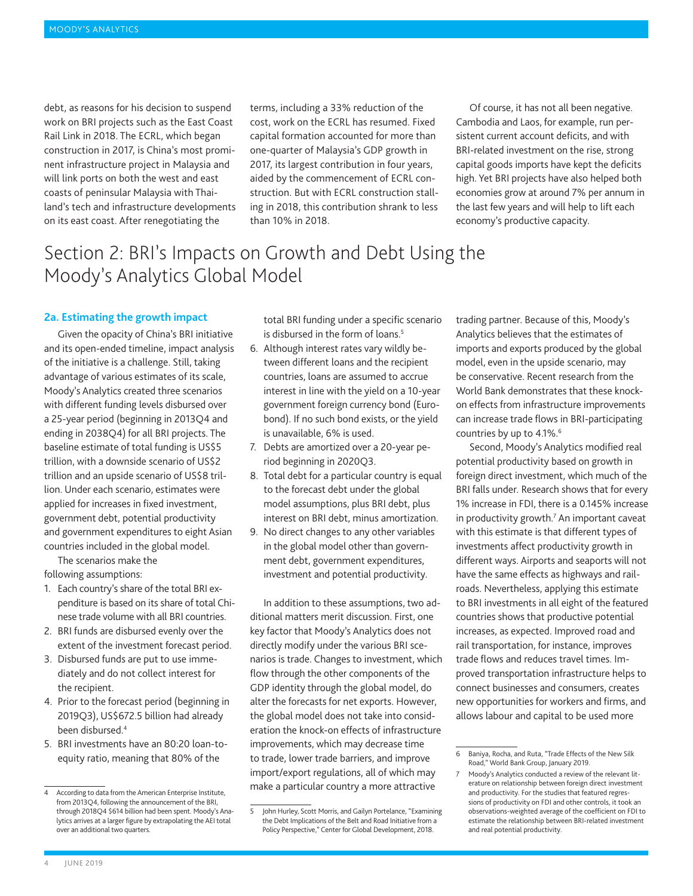debt, as reasons for his decision to suspend work on BRI projects such as the East Coast Rail Link in 2018. The ECRL, which began construction in 2017, is China's most prominent infrastructure project in Malaysia and will link ports on both the west and east coasts of peninsular Malaysia with Thailand's tech and infrastructure developments on its east coast. After renegotiating the

terms, including a 33% reduction of the cost, work on the ECRL has resumed. Fixed capital formation accounted for more than one-quarter of Malaysia's GDP growth in 2017, its largest contribution in four years, aided by the commencement of ECRL construction. But with ECRL construction stalling in 2018, this contribution shrank to less than 10% in 2018.

Of course, it has not all been negative. Cambodia and Laos, for example, run persistent current account deficits, and with BRI-related investment on the rise, strong capital goods imports have kept the deficits high. Yet BRI projects have also helped both economies grow at around 7% per annum in the last few years and will help to lift each economy's productive capacity.

## Section 2: BRI's Impacts on Growth and Debt Using the Moody's Analytics Global Model

#### **2a. Estimating the growth impact**

Given the opacity of China's BRI initiative and its open-ended timeline, impact analysis of the initiative is a challenge. Still, taking advantage of various estimates of its scale, Moody's Analytics created three scenarios with different funding levels disbursed over a 25-year period (beginning in 2013Q4 and ending in 2038Q4) for all BRI projects. The baseline estimate of total funding is US\$5 trillion, with a downside scenario of US\$2 trillion and an upside scenario of US\$8 trillion. Under each scenario, estimates were applied for increases in fixed investment, government debt, potential productivity and government expenditures to eight Asian countries included in the global model.

The scenarios make the following assumptions:

- 1. Each country's share of the total BRI expenditure is based on its share of total Chinese trade volume with all BRI countries.
- 2. BRI funds are disbursed evenly over the extent of the investment forecast period.
- 3. Disbursed funds are put to use immediately and do not collect interest for the recipient.
- 4. Prior to the forecast period (beginning in 2019Q3), US\$672.5 billion had already been disbursed.4
- 5. BRI investments have an 80:20 loan-toequity ratio, meaning that 80% of the

total BRI funding under a specific scenario is disbursed in the form of loans.<sup>5</sup>

- 6. Although interest rates vary wildly between different loans and the recipient countries, loans are assumed to accrue interest in line with the yield on a 10-year government foreign currency bond (Eurobond). If no such bond exists, or the yield is unavailable, 6% is used.
- 7. Debts are amortized over a 20-year period beginning in 2020Q3.
- 8. Total debt for a particular country is equal to the forecast debt under the global model assumptions, plus BRI debt, plus interest on BRI debt, minus amortization.
- 9. No direct changes to any other variables in the global model other than government debt, government expenditures, investment and potential productivity.

In addition to these assumptions, two additional matters merit discussion. First, one key factor that Moody's Analytics does not directly modify under the various BRI scenarios is trade. Changes to investment, which flow through the other components of the GDP identity through the global model, do alter the forecasts for net exports. However, the global model does not take into consideration the knock-on effects of infrastructure improvements, which may decrease time to trade, lower trade barriers, and improve import/export regulations, all of which may make a particular country a more attractive

trading partner. Because of this, Moody's Analytics believes that the estimates of imports and exports produced by the global model, even in the upside scenario, may be conservative. Recent research from the World Bank demonstrates that these knockon effects from infrastructure improvements can increase trade flows in BRI-participating countries by up to 4.1%.<sup>6</sup>

Second, Moody's Analytics modified real potential productivity based on growth in foreign direct investment, which much of the BRI falls under. Research shows that for every 1% increase in FDI, there is a 0.145% increase in productivity growth.<sup>7</sup> An important caveat with this estimate is that different types of investments affect productivity growth in different ways. Airports and seaports will not have the same effects as highways and railroads. Nevertheless, applying this estimate to BRI investments in all eight of the featured countries shows that productive potential increases, as expected. Improved road and rail transportation, for instance, improves trade flows and reduces travel times. Improved transportation infrastructure helps to connect businesses and consumers, creates new opportunities for workers and firms, and allows labour and capital to be used more

<sup>4</sup> According to data from the American Enterprise Institute, from 2013Q4, following the announcement of the BRI, through 2018Q4 \$614 billion had been spent. Moody's Analytics arrives at a larger figure by extrapolating the AEI total over an additional two quarters.

<sup>5</sup> John Hurley, Scott Morris, and Gailyn Portelance, "Examining the Debt Implications of the Belt and Road Initiative from a Policy Perspective," Center for Global Development, 2018.

<sup>6</sup> Baniya, Rocha, and Ruta, "Trade Effects of the New Silk Road," World Bank Group, January 2019.

<sup>7</sup> Moody's Analytics conducted a review of the relevant literature on relationship between foreign direct investment and productivity. For the studies that featured regressions of productivity on FDI and other controls, it took an observations-weighted average of the coefficient on FDI to estimate the relationship between BRI-related investment and real potential productivity.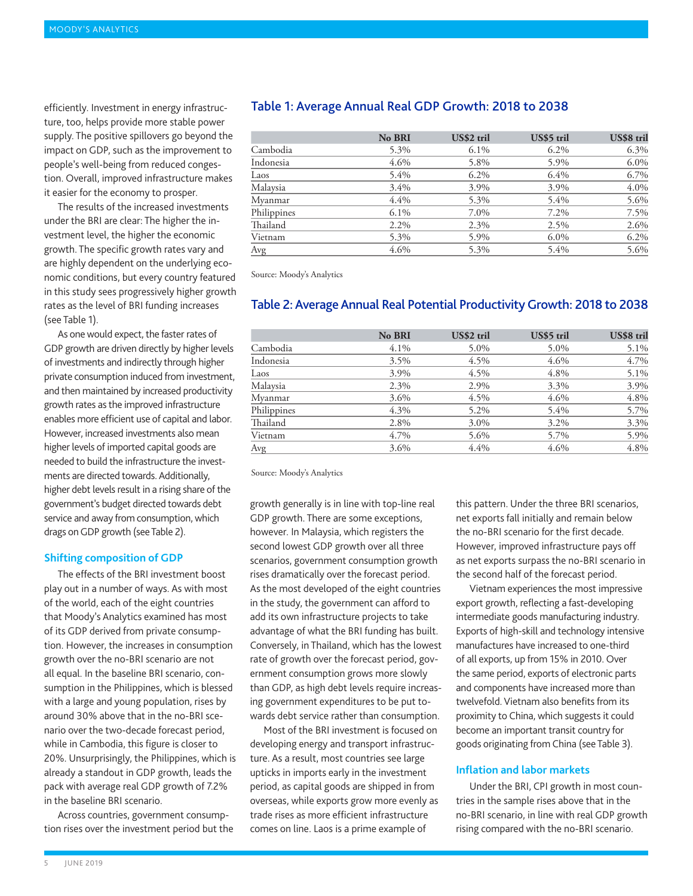efficiently. Investment in energy infrastructure, too, helps provide more stable power supply. The positive spillovers go beyond the impact on GDP, such as the improvement to people's well-being from reduced congestion. Overall, improved infrastructure makes it easier for the economy to prosper.

The results of the increased investments under the BRI are clear: The higher the investment level, the higher the economic growth. The specific growth rates vary and are highly dependent on the underlying economic conditions, but every country featured in this study sees progressively higher growth rates as the level of BRI funding increases (see Table 1).

As one would expect, the faster rates of GDP growth are driven directly by higher levels of investments and indirectly through higher private consumption induced from investment, and then maintained by increased productivity growth rates as the improved infrastructure enables more efficient use of capital and labor. However, increased investments also mean higher levels of imported capital goods are needed to build the infrastructure the investments are directed towards. Additionally, higher debt levels result in a rising share of the government's budget directed towards debt service and away from consumption, which drags on GDP growth (see Table 2).

#### **Shifting composition of GDP**

The effects of the BRI investment boost play out in a number of ways. As with most of the world, each of the eight countries that Moody's Analytics examined has most of its GDP derived from private consumption. However, the increases in consumption growth over the no-BRI scenario are not all equal. In the baseline BRI scenario, consumption in the Philippines, which is blessed with a large and young population, rises by around 30% above that in the no-BRI scenario over the two-decade forecast period, while in Cambodia, this figure is closer to 20%. Unsurprisingly, the Philippines, which is already a standout in GDP growth, leads the pack with average real GDP growth of 7.2% in the baseline BRI scenario.

Across countries, government consumption rises over the investment period but the

#### Table 1: Average Annual Real GDP Growth: 2018 to 2038

|             | No BRI  | US\$2 tril | US\$5 tril | US\$8 tril |
|-------------|---------|------------|------------|------------|
| Cambodia    | 5.3%    | $6.1\%$    | $6.2\%$    | 6.3%       |
| Indonesia   | 4.6%    | 5.8%       | 5.9%       | 6.0%       |
| Laos        | 5.4%    | $6.2\%$    | $6.4\%$    | 6.7%       |
| Malaysia    | 3.4%    | 3.9%       | 3.9%       | 4.0%       |
| Myanmar     | 4.4%    | 5.3%       | 5.4%       | 5.6%       |
| Philippines | $6.1\%$ | 7.0%       | 7.2%       | 7.5%       |
| Thailand    | 2.2%    | 2.3%       | 2.5%       | 2.6%       |
| Vietnam     | 5.3%    | 5.9%       | $6.0\%$    | 6.2%       |
| Avg         | 4.6%    | 5.3%       | 5.4%       | 5.6%       |

Source: Moody's Analytics

#### Table 2: Average Annual Real Potential Productivity Growth: 2018 to 2038

|             | No BRI | US\$2 tril | US\$5 tril | US\$8 tril |
|-------------|--------|------------|------------|------------|
| Cambodia    | 4.1%   | 5.0%       | 5.0%       | 5.1%       |
| Indonesia   | 3.5%   | 4.5%       | 4.6%       | 4.7%       |
| Laos        | 3.9%   | 4.5%       | 4.8%       | 5.1%       |
| Malaysia    | 2.3%   | 2.9%       | 3.3%       | 3.9%       |
| Myanmar     | 3.6%   | 4.5%       | 4.6%       | 4.8%       |
| Philippines | 4.3%   | 5.2%       | 5.4%       | 5.7%       |
| Thailand    | 2.8%   | 3.0%       | 3.2%       | 3.3%       |
| Vietnam     | 4.7%   | 5.6%       | 5.7%       | 5.9%       |
| Avg         | 3.6%   | 4.4%       | 4.6%       | 4.8%       |

Source: Moody's Analytics

growth generally is in line with top-line real GDP growth. There are some exceptions, however. In Malaysia, which registers the second lowest GDP growth over all three scenarios, government consumption growth rises dramatically over the forecast period. As the most developed of the eight countries in the study, the government can afford to add its own infrastructure projects to take advantage of what the BRI funding has built. Conversely, in Thailand, which has the lowest rate of growth over the forecast period, government consumption grows more slowly than GDP, as high debt levels require increasing government expenditures to be put towards debt service rather than consumption.

Most of the BRI investment is focused on developing energy and transport infrastructure. As a result, most countries see large upticks in imports early in the investment period, as capital goods are shipped in from overseas, while exports grow more evenly as trade rises as more efficient infrastructure comes on line. Laos is a prime example of

this pattern. Under the three BRI scenarios, net exports fall initially and remain below the no-BRI scenario for the first decade. However, improved infrastructure pays off as net exports surpass the no-BRI scenario in the second half of the forecast period.

Vietnam experiences the most impressive export growth, reflecting a fast-developing intermediate goods manufacturing industry. Exports of high-skill and technology intensive manufactures have increased to one-third of all exports, up from 15% in 2010. Over the same period, exports of electronic parts and components have increased more than twelvefold. Vietnam also benefits from its proximity to China, which suggests it could become an important transit country for goods originating from China (see Table 3).

#### **Inflation and labor markets**

Under the BRI, CPI growth in most countries in the sample rises above that in the no-BRI scenario, in line with real GDP growth rising compared with the no-BRI scenario.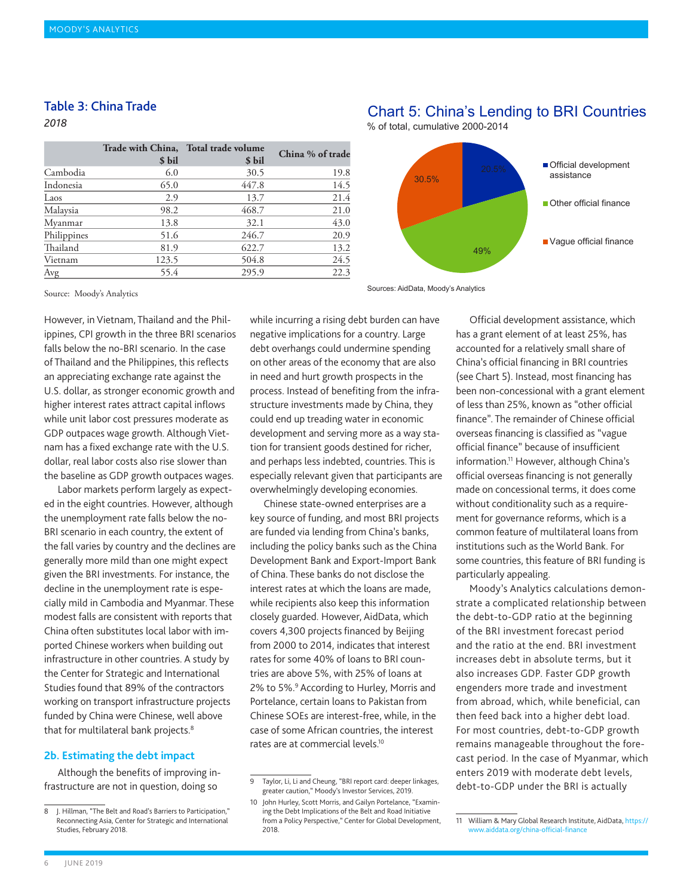### Table 3: China Trade

*2018*

|             | \$ bil | Trade with China, Total trade volume<br>\$ bil | China % of trade |
|-------------|--------|------------------------------------------------|------------------|
| Cambodia    | 6.0    | 30.5                                           | 19.8             |
| Indonesia   | 65.0   | 447.8                                          | 14.5             |
| Laos        | 2.9    | 13.7                                           | 21.4             |
| Malaysia    | 98.2   | 468.7                                          | 21.0             |
| Myanmar     | 13.8   | 32.1                                           | 43.0             |
| Philippines | 51.6   | 246.7                                          | 20.9             |
| Thailand    | 81.9   | 622.7                                          | 13.2             |
| Vietnam     | 123.5  | 504.8                                          | 24.5             |
| Avg         | 55.4   | 295.9                                          | 22.3             |

Chart 5: China's Lending to BRI Countries

% of total, cumulative 2000-2014

Sources: AidData, Moody's Analytics



Source: Moody's Analytics

However, in Vietnam, Thailand and the Philippines, CPI growth in the three BRI scenarios falls below the no-BRI scenario. In the case of Thailand and the Philippines, this reflects an appreciating exchange rate against the U.S. dollar, as stronger economic growth and higher interest rates attract capital inflows while unit labor cost pressures moderate as GDP outpaces wage growth. Although Vietnam has a fixed exchange rate with the U.S. dollar, real labor costs also rise slower than the baseline as GDP growth outpaces wages.

Labor markets perform largely as expected in the eight countries. However, although the unemployment rate falls below the no-BRI scenario in each country, the extent of the fall varies by country and the declines are generally more mild than one might expect given the BRI investments. For instance, the decline in the unemployment rate is especially mild in Cambodia and Myanmar. These modest falls are consistent with reports that China often substitutes local labor with imported Chinese workers when building out infrastructure in other countries. A study by the Center for Strategic and International Studies found that 89% of the contractors working on transport infrastructure projects funded by China were Chinese, well above that for multilateral bank projects.<sup>8</sup>

#### **2b. Estimating the debt impact**

Although the benefits of improving infrastructure are not in question, doing so

while incurring a rising debt burden can have negative implications for a country. Large debt overhangs could undermine spending on other areas of the economy that are also in need and hurt growth prospects in the process. Instead of benefiting from the infrastructure investments made by China, they could end up treading water in economic development and serving more as a way station for transient goods destined for richer, and perhaps less indebted, countries. This is especially relevant given that participants are overwhelmingly developing economies.

Chinese state-owned enterprises are a key source of funding, and most BRI projects are funded via lending from China's banks, including the policy banks such as the China Development Bank and Export-Import Bank of China. These banks do not disclose the interest rates at which the loans are made, while recipients also keep this information closely guarded. However, AidData, which covers 4,300 projects financed by Beijing from 2000 to 2014, indicates that interest rates for some 40% of loans to BRI countries are above 5%, with 25% of loans at 2% to 5%.<sup>9</sup> According to Hurley, Morris and Portelance, certain loans to Pakistan from Chinese SOEs are interest-free, while, in the case of some African countries, the interest rates are at commercial levels.<sup>10</sup>

Official development assistance, which has a grant element of at least 25%, has accounted for a relatively small share of China's official financing in BRI countries (see Chart 5). Instead, most financing has been non-concessional with a grant element of less than 25%, known as "other official finance". The remainder of Chinese official overseas financing is classified as "vague official finance" because of insufficient information.<sup>11</sup> However, although China's official overseas financing is not generally made on concessional terms, it does come without conditionality such as a requirement for governance reforms, which is a common feature of multilateral loans from institutions such as the World Bank. For some countries, this feature of BRI funding is particularly appealing.

Moody's Analytics calculations demonstrate a complicated relationship between the debt-to-GDP ratio at the beginning of the BRI investment forecast period and the ratio at the end. BRI investment increases debt in absolute terms, but it also increases GDP. Faster GDP growth engenders more trade and investment from abroad, which, while beneficial, can then feed back into a higher debt load. For most countries, debt-to-GDP growth remains manageable throughout the forecast period. In the case of Myanmar, which enters 2019 with moderate debt levels, debt-to-GDP under the BRI is actually

<sup>8</sup> J. Hillman, "The Belt and Road's Barriers to Participation," Reconnecting Asia, Center for Strategic and International Studies, February 2018.

<sup>9</sup> Taylor, Li, Li and Cheung, "BRI report card: deeper linkages, greater caution," Moody's Investor Services, 2019.

<sup>10</sup> John Hurley, Scott Morris, and Gailyn Portelance, "Examining the Debt Implications of the Belt and Road Initiative from a Policy Perspective," Center for Global Development, 2018.

<sup>11</sup> William & Mary Global Research Institute, AidData, https:// www.aiddata.org/china-official-finance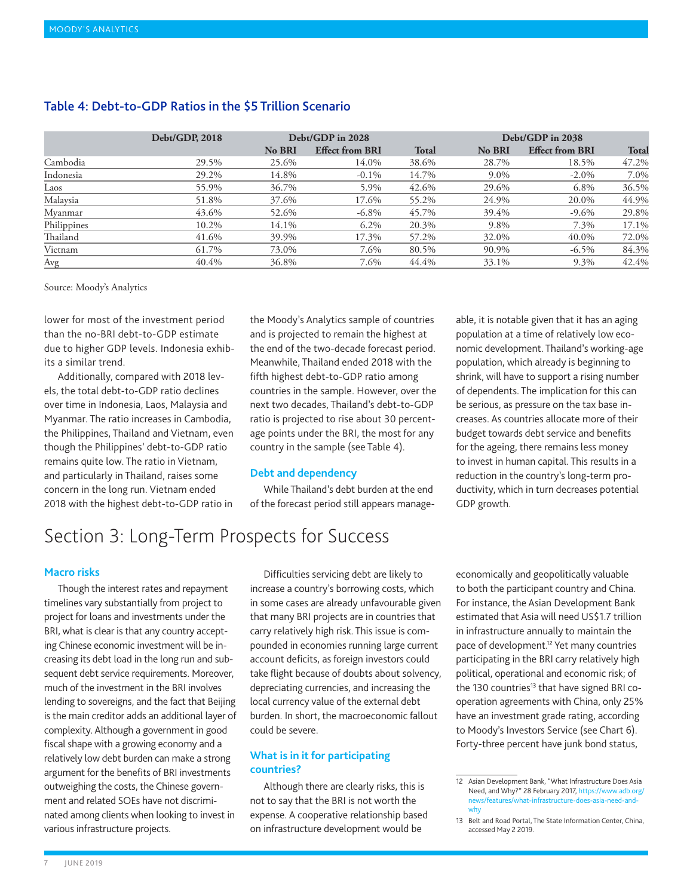|             | Debt/GDP <sub>3</sub> 2018 |        | Debt/GDP in 2028       |              | Debt/GDP in 2038 |                        |              |
|-------------|----------------------------|--------|------------------------|--------------|------------------|------------------------|--------------|
|             |                            | No BRI | <b>Effect from BRI</b> | <b>Total</b> | No BRI           | <b>Effect from BRI</b> | <b>Total</b> |
| Cambodia    | 29.5%                      | 25.6%  | 14.0%                  | 38.6%        | 28.7%            | 18.5%                  | 47.2%        |
| Indonesia   | 29.2%                      | 14.8%  | $-0.1\%$               | 14.7%        | $9.0\%$          | $-2.0\%$               | 7.0%         |
| Laos        | 55.9%                      | 36.7%  | 5.9%                   | 42.6%        | 29.6%            | 6.8%                   | 36.5%        |
| Malaysia    | 51.8%                      | 37.6%  | 17.6%                  | 55.2%        | 24.9%            | 20.0%                  | 44.9%        |
| Myanmar     | 43.6%                      | 52.6%  | $-6.8\%$               | 45.7%        | 39.4%            | $-9.6\%$               | 29.8%        |
| Philippines | 10.2%                      | 14.1%  | $6.2\%$                | 20.3%        | 9.8%             | 7.3%                   | 17.1%        |
| Thailand    | 41.6%                      | 39.9%  | 17.3%                  | 57.2%        | 32.0%            | 40.0%                  | 72.0%        |
| Vietnam     | 61.7%                      | 73.0%  | 7.6%                   | 80.5%        | 90.9%            | $-6.5\%$               | 84.3%        |
| Avg         | 40.4%                      | 36.8%  | 7.6%                   | 44.4%        | 33.1%            | 9.3%                   | 42.4%        |

#### Table 4: Debt-to-GDP Ratios in the \$5 Trillion Scenario

Source: Moody's Analytics

lower for most of the investment period than the no-BRI debt-to-GDP estimate due to higher GDP levels. Indonesia exhibits a similar trend.

Additionally, compared with 2018 levels, the total debt-to-GDP ratio declines over time in Indonesia, Laos, Malaysia and Myanmar. The ratio increases in Cambodia, the Philippines, Thailand and Vietnam, even though the Philippines' debt-to-GDP ratio remains quite low. The ratio in Vietnam, and particularly in Thailand, raises some concern in the long run. Vietnam ended 2018 with the highest debt-to-GDP ratio in

the Moody's Analytics sample of countries and is projected to remain the highest at the end of the two-decade forecast period. Meanwhile, Thailand ended 2018 with the fifth highest debt-to-GDP ratio among countries in the sample. However, over the next two decades, Thailand's debt-to-GDP ratio is projected to rise about 30 percentage points under the BRI, the most for any country in the sample (see Table 4).

#### **Debt and dependency**

While Thailand's debt burden at the end of the forecast period still appears manageable, it is notable given that it has an aging population at a time of relatively low economic development. Thailand's working-age population, which already is beginning to shrink, will have to support a rising number of dependents. The implication for this can be serious, as pressure on the tax base increases. As countries allocate more of their budget towards debt service and benefits for the ageing, there remains less money to invest in human capital. This results in a reduction in the country's long-term productivity, which in turn decreases potential GDP growth.

# Section 3: Long-Term Prospects for Success

#### **Macro risks**

Though the interest rates and repayment timelines vary substantially from project to project for loans and investments under the BRI, what is clear is that any country accepting Chinese economic investment will be increasing its debt load in the long run and subsequent debt service requirements. Moreover, much of the investment in the BRI involves lending to sovereigns, and the fact that Beijing is the main creditor adds an additional layer of complexity. Although a government in good fiscal shape with a growing economy and a relatively low debt burden can make a strong argument for the benefits of BRI investments outweighing the costs, the Chinese government and related SOEs have not discriminated among clients when looking to invest in various infrastructure projects.

Difficulties servicing debt are likely to increase a country's borrowing costs, which in some cases are already unfavourable given that many BRI projects are in countries that carry relatively high risk. This issue is compounded in economies running large current account deficits, as foreign investors could take flight because of doubts about solvency, depreciating currencies, and increasing the local currency value of the external debt burden. In short, the macroeconomic fallout could be severe.

#### **What is in it for participating countries?**

Although there are clearly risks, this is not to say that the BRI is not worth the expense. A cooperative relationship based on infrastructure development would be

economically and geopolitically valuable to both the participant country and China. For instance, the Asian Development Bank estimated that Asia will need US\$1.7 trillion in infrastructure annually to maintain the pace of development.<sup>12</sup> Yet many countries participating in the BRI carry relatively high political, operational and economic risk; of the 130 countries<sup>13</sup> that have signed BRI cooperation agreements with China, only 25% have an investment grade rating, according to Moody's Investors Service (see Chart 6). Forty-three percent have junk bond status,

<sup>12</sup> Asian Development Bank, "What Infrastructure Does Asia Need, and Why?" 28 February 2017, https://www.adb.org/ what-infrastructure-does-asia-need-andwhy

<sup>13</sup> Belt and Road Portal, The State Information Center, China, accessed May 2 2019.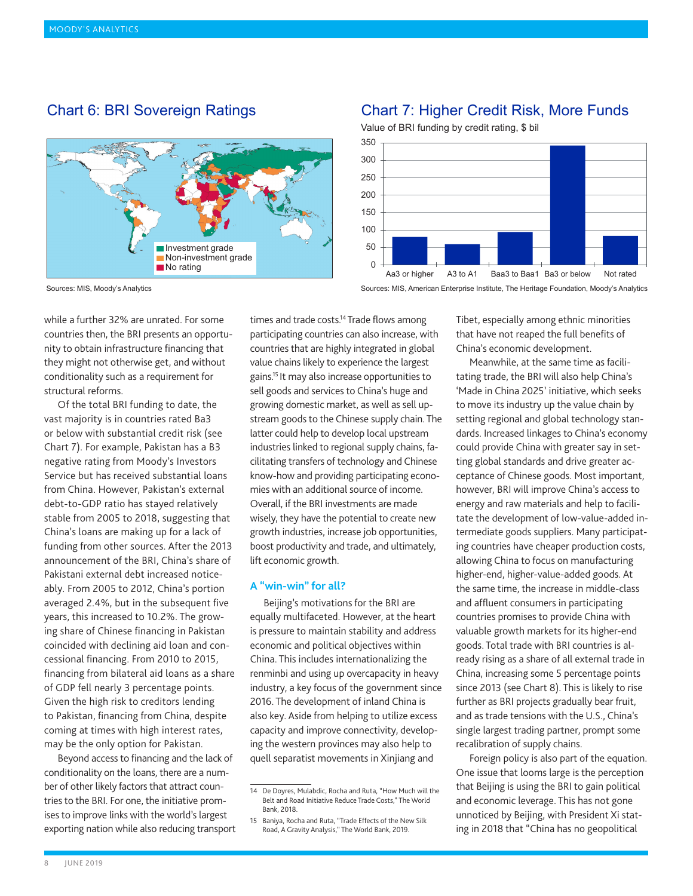# Investment grade Non-investment grade No rating

Sources: MIS, Moody's Analytics

### Chart 7: Higher Credit Risk, More Funds

Value of BRI funding by credit rating, \$ bil



Sources: MIS, American Enterprise Institute, The Heritage Foundation, Moody's Analytics

while a further 32% are unrated. For some countries then, the BRI presents an opportunity to obtain infrastructure financing that they might not otherwise get, and without conditionality such as a requirement for structural reforms.

Of the total BRI funding to date, the vast majority is in countries rated Ba3 or below with substantial credit risk (see Chart 7). For example, Pakistan has a B3 negative rating from Moody's Investors Service but has received substantial loans from China. However, Pakistan's external debt-to-GDP ratio has stayed relatively stable from 2005 to 2018, suggesting that China's loans are making up for a lack of funding from other sources. After the 2013 announcement of the BRI, China's share of Pakistani external debt increased noticeably. From 2005 to 2012, China's portion averaged 2.4%, but in the subsequent five years, this increased to 10.2%. The growing share of Chinese financing in Pakistan coincided with declining aid loan and concessional financing. From 2010 to 2015, financing from bilateral aid loans as a share of GDP fell nearly 3 percentage points. Given the high risk to creditors lending to Pakistan, financing from China, despite coming at times with high interest rates, may be the only option for Pakistan.

Beyond access to financing and the lack of conditionality on the loans, there are a number of other likely factors that attract countries to the BRI. For one, the initiative promises to improve links with the world's largest exporting nation while also reducing transport times and trade costs.<sup>14</sup> Trade flows among participating countries can also increase, with countries that are highly integrated in global value chains likely to experience the largest gains.15 It may also increase opportunities to sell goods and services to China's huge and growing domestic market, as well as sell upstream goods to the Chinese supply chain. The latter could help to develop local upstream industries linked to regional supply chains, facilitating transfers of technology and Chinese know-how and providing participating economies with an additional source of income. Overall, if the BRI investments are made wisely, they have the potential to create new growth industries, increase job opportunities, boost productivity and trade, and ultimately, lift economic growth.

#### **A "win-win" for all?**

Beijing's motivations for the BRI are equally multifaceted. However, at the heart is pressure to maintain stability and address economic and political objectives within China. This includes internationalizing the renminbi and using up overcapacity in heavy industry, a key focus of the government since 2016. The development of inland China is also key. Aside from helping to utilize excess capacity and improve connectivity, developing the western provinces may also help to quell separatist movements in Xinjiang and

Tibet, especially among ethnic minorities that have not reaped the full benefits of China's economic development.

Meanwhile, at the same time as facilitating trade, the BRI will also help China's 'Made in China 2025' initiative, which seeks to move its industry up the value chain by setting regional and global technology standards. Increased linkages to China's economy could provide China with greater say in setting global standards and drive greater acceptance of Chinese goods. Most important, however, BRI will improve China's access to energy and raw materials and help to facilitate the development of low-value-added intermediate goods suppliers. Many participating countries have cheaper production costs, allowing China to focus on manufacturing higher-end, higher-value-added goods. At the same time, the increase in middle-class and affluent consumers in participating countries promises to provide China with valuable growth markets for its higher-end goods. Total trade with BRI countries is already rising as a share of all external trade in China, increasing some 5 percentage points since 2013 (see Chart 8). This is likely to rise further as BRI projects gradually bear fruit, and as trade tensions with the U.S., China's single largest trading partner, prompt some recalibration of supply chains.

Foreign policy is also part of the equation. One issue that looms large is the perception that Beijing is using the BRI to gain political and economic leverage. This has not gone unnoticed by Beijing, with President Xi stating in 2018 that "China has no geopolitical

<sup>14</sup> De Doyres, Mulabdic, Rocha and Ruta, "How Much will the Belt and Road Initiative Reduce Trade Costs," The World Bank, 2018.

<sup>15</sup> Baniya, Rocha and Ruta, "Trade Effects of the New Silk Road, A Gravity Analysis," The World Bank, 2019.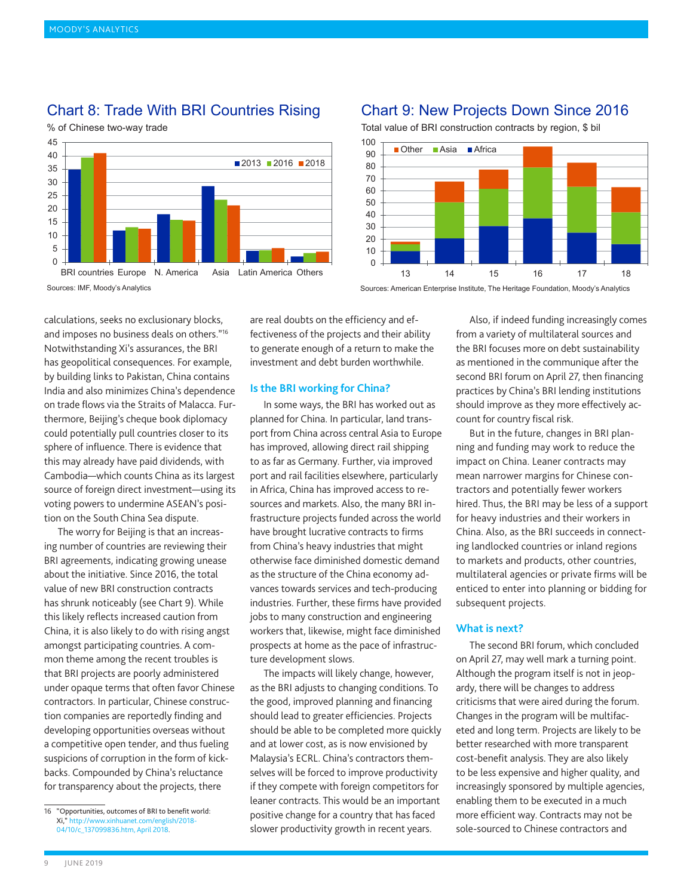### Chart 8: Trade With BRI Countries Rising

% of Chinese two-way trade



### Chart 9: New Projects Down Since 2016

Total value of BRI construction contracts by region, \$ bil



Sources: American Enterprise Institute, The Heritage Foundation, Moody's Analytics

calculations, seeks no exclusionary blocks, and imposes no business deals on others."16 Notwithstanding Xi's assurances, the BRI has geopolitical consequences. For example, by building links to Pakistan, China contains India and also minimizes China's dependence on trade flows via the Straits of Malacca. Furthermore, Beijing's cheque book diplomacy could potentially pull countries closer to its sphere of influence. There is evidence that this may already have paid dividends, with Cambodia—which counts China as its largest source of foreign direct investment—using its voting powers to undermine ASEAN's position on the South China Sea dispute.

The worry for Beijing is that an increasing number of countries are reviewing their BRI agreements, indicating growing unease about the initiative. Since 2016, the total value of new BRI construction contracts has shrunk noticeably (see Chart 9). While this likely reflects increased caution from China, it is also likely to do with rising angst amongst participating countries. A common theme among the recent troubles is that BRI projects are poorly administered under opaque terms that often favor Chinese contractors. In particular, Chinese construction companies are reportedly finding and developing opportunities overseas without a competitive open tender, and thus fueling suspicions of corruption in the form of kickbacks. Compounded by China's reluctance for transparency about the projects, there

are real doubts on the efficiency and effectiveness of the projects and their ability to generate enough of a return to make the investment and debt burden worthwhile.

#### **Is the BRI working for China?**

In some ways, the BRI has worked out as planned for China. In particular, land transport from China across central Asia to Europe has improved, allowing direct rail shipping to as far as Germany. Further, via improved port and rail facilities elsewhere, particularly in Africa, China has improved access to resources and markets. Also, the many BRI infrastructure projects funded across the world have brought lucrative contracts to firms from China's heavy industries that might otherwise face diminished domestic demand as the structure of the China economy advances towards services and tech-producing industries. Further, these firms have provided jobs to many construction and engineering workers that, likewise, might face diminished prospects at home as the pace of infrastructure development slows.

The impacts will likely change, however, as the BRI adjusts to changing conditions. To the good, improved planning and financing should lead to greater efficiencies. Projects should be able to be completed more quickly and at lower cost, as is now envisioned by Malaysia's ECRL. China's contractors themselves will be forced to improve productivity if they compete with foreign competitors for leaner contracts. This would be an important positive change for a country that has faced slower productivity growth in recent years.

Also, if indeed funding increasingly comes from a variety of multilateral sources and the BRI focuses more on debt sustainability as mentioned in the communique after the second BRI forum on April 27, then financing practices by China's BRI lending institutions should improve as they more effectively account for country fiscal risk.

But in the future, changes in BRI planning and funding may work to reduce the impact on China. Leaner contracts may mean narrower margins for Chinese contractors and potentially fewer workers hired. Thus, the BRI may be less of a support for heavy industries and their workers in China. Also, as the BRI succeeds in connecting landlocked countries or inland regions to markets and products, other countries, multilateral agencies or private firms will be enticed to enter into planning or bidding for subsequent projects.

#### **What is next?**

The second BRI forum, which concluded on April 27, may well mark a turning point. Although the program itself is not in jeopardy, there will be changes to address criticisms that were aired during the forum. Changes in the program will be multifaceted and long term. Projects are likely to be better researched with more transparent cost-benefit analysis. They are also likely to be less expensive and higher quality, and increasingly sponsored by multiple agencies, enabling them to be executed in a much more efficient way. Contracts may not be sole-sourced to Chinese contractors and

<sup>16</sup> "Opportunities, outcomes of BRI to benefit world: Xi," http://www.xinhuanet.com/english/2018- 04/10/c\_137099836.htm, April 2018.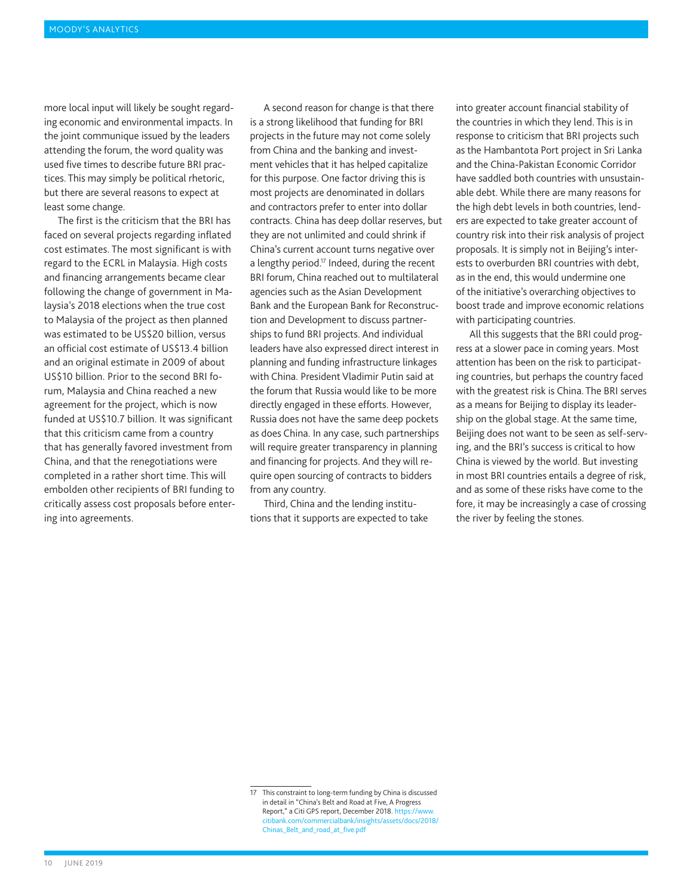more local input will likely be sought regarding economic and environmental impacts. In the joint communique issued by the leaders attending the forum, the word quality was used five times to describe future BRI practices. This may simply be political rhetoric, but there are several reasons to expect at least some change.

The first is the criticism that the BRI has faced on several projects regarding inflated cost estimates. The most significant is with regard to the ECRL in Malaysia. High costs and financing arrangements became clear following the change of government in Malaysia's 2018 elections when the true cost to Malaysia of the project as then planned was estimated to be US\$20 billion, versus an official cost estimate of US\$13.4 billion and an original estimate in 2009 of about US\$10 billion. Prior to the second BRI forum, Malaysia and China reached a new agreement for the project, which is now funded at US\$10.7 billion. It was significant that this criticism came from a country that has generally favored investment from China, and that the renegotiations were completed in a rather short time. This will embolden other recipients of BRI funding to critically assess cost proposals before entering into agreements.

A second reason for change is that there is a strong likelihood that funding for BRI projects in the future may not come solely from China and the banking and investment vehicles that it has helped capitalize for this purpose. One factor driving this is most projects are denominated in dollars and contractors prefer to enter into dollar contracts. China has deep dollar reserves, but they are not unlimited and could shrink if China's current account turns negative over a lengthy period.<sup>17</sup> Indeed, during the recent BRI forum, China reached out to multilateral agencies such as the Asian Development Bank and the European Bank for Reconstruction and Development to discuss partnerships to fund BRI projects. And individual leaders have also expressed direct interest in planning and funding infrastructure linkages with China. President Vladimir Putin said at the forum that Russia would like to be more directly engaged in these efforts. However, Russia does not have the same deep pockets as does China. In any case, such partnerships will require greater transparency in planning and financing for projects. And they will require open sourcing of contracts to bidders from any country.

Third, China and the lending institutions that it supports are expected to take into greater account financial stability of the countries in which they lend. This is in response to criticism that BRI projects such as the Hambantota Port project in Sri Lanka and the China-Pakistan Economic Corridor have saddled both countries with unsustainable debt. While there are many reasons for the high debt levels in both countries, lenders are expected to take greater account of country risk into their risk analysis of project proposals. It is simply not in Beijing's interests to overburden BRI countries with debt, as in the end, this would undermine one of the initiative's overarching objectives to boost trade and improve economic relations with participating countries.

All this suggests that the BRI could progress at a slower pace in coming years. Most attention has been on the risk to participating countries, but perhaps the country faced with the greatest risk is China. The BRI serves as a means for Beijing to display its leadership on the global stage. At the same time, Beijing does not want to be seen as self-serving, and the BRI's success is critical to how China is viewed by the world. But investing in most BRI countries entails a degree of risk, and as some of these risks have come to the fore, it may be increasingly a case of crossing the river by feeling the stones.

<sup>17</sup> This constraint to long-term funding by China is discussed in detail in "China's Belt and Road at Five, A Progress Report," a Citi GPS report, December 2018. https://ww. citibank.com/commercialbank/insights/assets/docs/2018/ Chinas\_Belt\_and\_road\_at\_five.pdf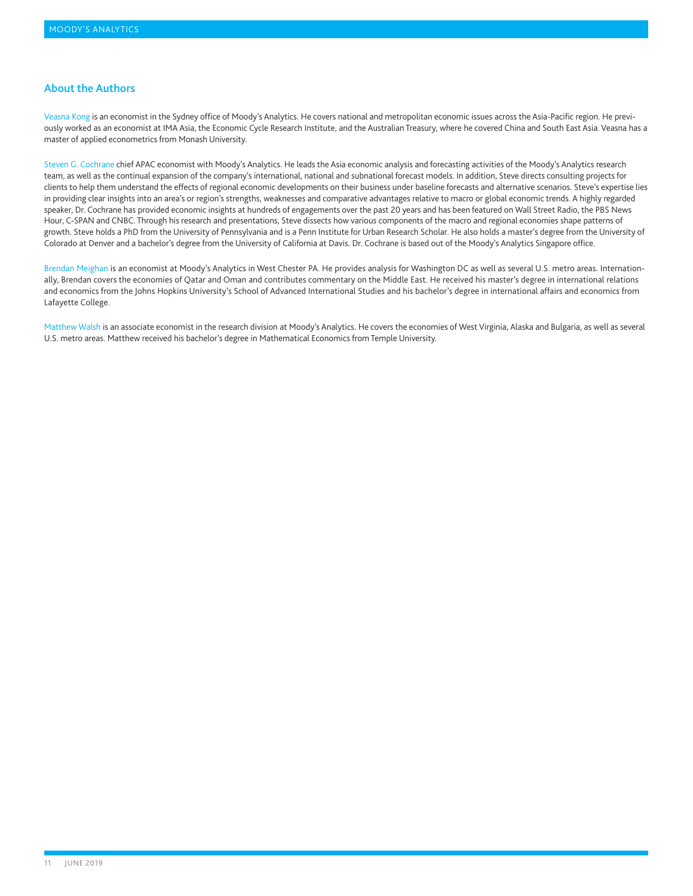#### About the Authors

Veasna Kong is an economist in the Sydney office of Moody's Analytics. He covers national and metropolitan economic issues across the Asia-Pacific region. He previously worked as an economist at IMA Asia, the Economic Cycle Research Institute, and the Australian Treasury, where he covered China and South East Asia. Veasna has a master of applied econometrics from Monash University.

Steven G. Cochrane chief APAC economist with Moody's Analytics. He leads the Asia economic analysis and forecasting activities of the Moody's Analytics research team, as well as the continual expansion of the company's international, national and subnational forecast models. In addition, Steve directs consulting projects for clients to help them understand the effects of regional economic developments on their business under baseline forecasts and alternative scenarios. Steve's expertise lies in providing clear insights into an area's or region's strengths, weaknesses and comparative advantages relative to macro or global economic trends. A highly regarded speaker, Dr. Cochrane has provided economic insights at hundreds of engagements over the past 20 years and has been featured on Wall Street Radio, the PBS News Hour, C-SPAN and CNBC. Through his research and presentations, Steve dissects how various components of the macro and regional economies shape patterns of growth. Steve holds a PhD from the University of Pennsylvania and is a Penn Institute for Urban Research Scholar. He also holds a master's degree from the University of Colorado at Denver and a bachelor's degree from the University of California at Davis. Dr. Cochrane is based out of the Moody's Analytics Singapore office.

Brendan Meighan is an economist at Moody's Analytics in West Chester PA. He provides analysis for Washington DC as well as several U.S. metro areas. Internationally, Brendan covers the economies of Qatar and Oman and contributes commentary on the Middle East. He received his master's degree in international relations and economics from the Johns Hopkins University's School of Advanced International Studies and his bachelor's degree in international affairs and economics from Lafayette College.

Matthew Walsh is an associate economist in the research division at Moody's Analytics. He covers the economies of West Virginia, Alaska and Bulgaria, as well as several U.S. metro areas. Matthew received his bachelor's degree in Mathematical Economics from Temple University.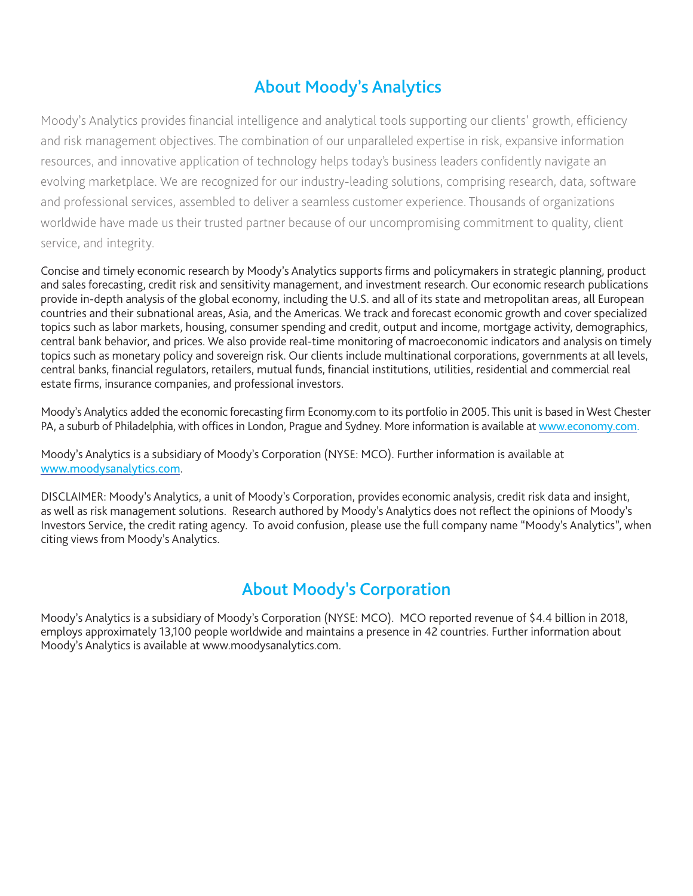## About Moody's Analytics

Moody's Analytics provides financial intelligence and analytical tools supporting our clients' growth, efficiency and risk management objectives. The combination of our unparalleled expertise in risk, expansive information resources, and innovative application of technology helps today's business leaders confidently navigate an evolving marketplace. We are recognized for our industry-leading solutions, comprising research, data, software and professional services, assembled to deliver a seamless customer experience. Thousands of organizations worldwide have made us their trusted partner because of our uncompromising commitment to quality, client service, and integrity.

Concise and timely economic research by Moody's Analytics supports firms and policymakers in strategic planning, product and sales forecasting, credit risk and sensitivity management, and investment research. Our economic research publications provide in-depth analysis of the global economy, including the U.S. and all of its state and metropolitan areas, all European countries and their subnational areas, Asia, and the Americas. We track and forecast economic growth and cover specialized topics such as labor markets, housing, consumer spending and credit, output and income, mortgage activity, demographics, central bank behavior, and prices. We also provide real-time monitoring of macroeconomic indicators and analysis on timely topics such as monetary policy and sovereign risk. Our clients include multinational corporations, governments at all levels, central banks, financial regulators, retailers, mutual funds, financial institutions, utilities, residential and commercial real estate firms, insurance companies, and professional investors.

Moody's Analytics added the economic forecasting firm Economy.com to its portfolio in 2005. This unit is based in West Chester PA, a suburb of Philadelphia, with offices in London, Prague and Sydney. More information is available at www.economy.com.

Moody's Analytics is a subsidiary of Moody's Corporation (NYSE: MCO). Further information is available at www.moodysanalytics.com.

DISCLAIMER: Moody's Analytics, a unit of Moody's Corporation, provides economic analysis, credit risk data and insight, as well as risk management solutions. Research authored by Moody's Analytics does not reflect the opinions of Moody's Investors Service, the credit rating agency. To avoid confusion, please use the full company name "Moody's Analytics", when citing views from Moody's Analytics.

### About Moody's Corporation

Moody's Analytics is a subsidiary of Moody's Corporation (NYSE: MCO). MCO reported revenue of \$4.4 billion in 2018, employs approximately 13,100 people worldwide and maintains a presence in 42 countries. Further information about Moody's Analytics is available at www.moodysanalytics.com.